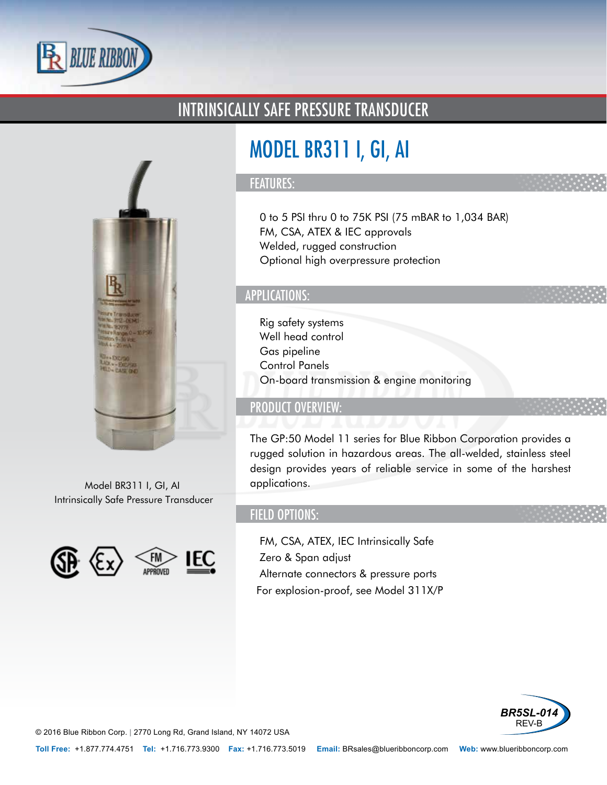

### INTRINSICALLY SAFE PRESSURE TRANSDUCER



Model BR311 I, GI, AI Intrinsically Safe Pressure Transducer



# MODEL BR311 I, GI, AI

#### FEATURES:

- 0 to 5 PSI thru 0 to 75K PSI (75 mBAR to 1,034 BAR)
- FM, CSA, ATEX & IEC approvals
- Welded, rugged construction
- Optional high overpressure protection

#### APPLICATIONS:

- Rig safety systems
- Well head control
- Gas pipeline
- Control Panels
- On-board transmission & engine monitoring

#### PRODUCT OVERVIEW:

The GP:50 Model 11 series for Blue Ribbon Corporation provides a rugged solution in hazardous areas. The all-welded, stainless steel design provides years of reliable service in some of the harshest applications.

#### FIELD OPTIONS:

- FM, CSA, ATEX, IEC Intrinsically Safe
- Zero & Span adjust
- Alternate connectors & pressure ports
- •For explosion-proof, see Model 311X/P



© 2016 Blue Ribbon Corp. *<sup>|</sup>* 2770 Long Rd, Grand Island, NY 14072 USA